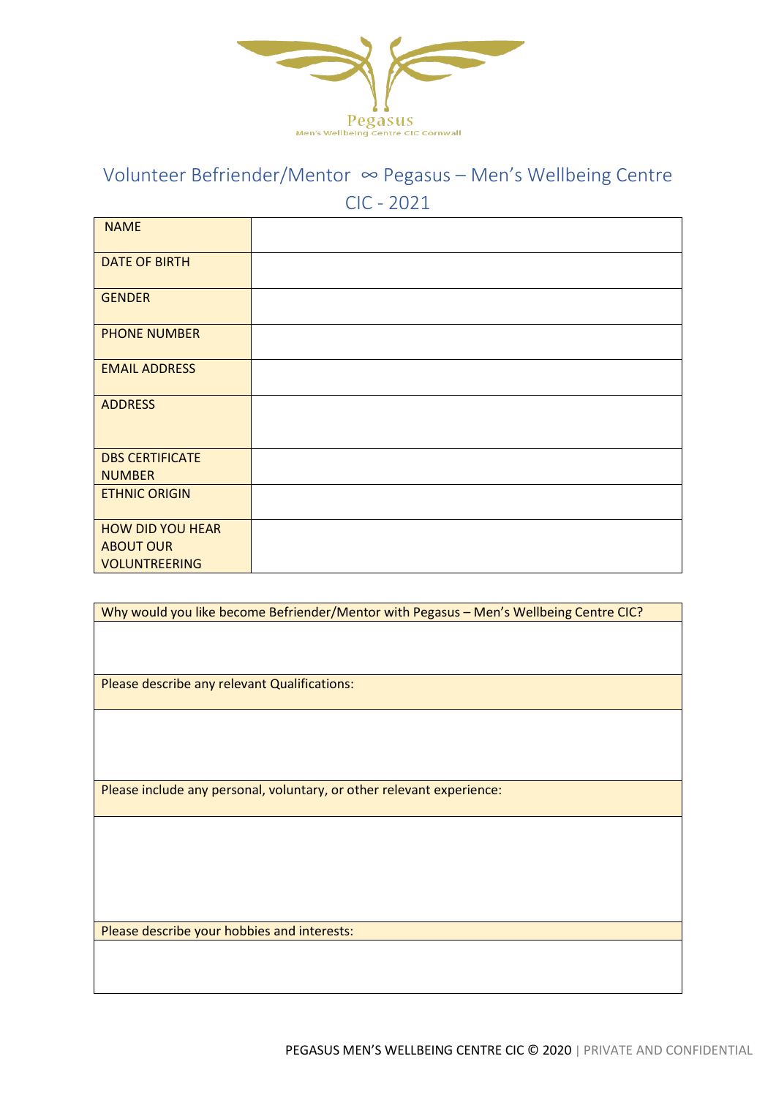

## Volunteer Befriender/Mentor ∞ Pegasus – Men's Wellbeing Centre CIC - 2021

| <b>NAME</b>             |  |
|-------------------------|--|
| <b>DATE OF BIRTH</b>    |  |
| <b>GENDER</b>           |  |
| <b>PHONE NUMBER</b>     |  |
| <b>EMAIL ADDRESS</b>    |  |
| <b>ADDRESS</b>          |  |
| <b>DBS CERTIFICATE</b>  |  |
| <b>NUMBER</b>           |  |
| <b>ETHNIC ORIGIN</b>    |  |
| <b>HOW DID YOU HEAR</b> |  |
| <b>ABOUT OUR</b>        |  |
| <b>VOLUNTREERING</b>    |  |

| Why would you like become Befriender/Mentor with Pegasus - Men's Wellbeing Centre CIC? |  |
|----------------------------------------------------------------------------------------|--|
|                                                                                        |  |
|                                                                                        |  |
|                                                                                        |  |
| Please describe any relevant Qualifications:                                           |  |
|                                                                                        |  |
|                                                                                        |  |
|                                                                                        |  |
|                                                                                        |  |
|                                                                                        |  |
| Please include any personal, voluntary, or other relevant experience:                  |  |
|                                                                                        |  |
|                                                                                        |  |
|                                                                                        |  |
|                                                                                        |  |
|                                                                                        |  |
|                                                                                        |  |

Please describe your hobbies and interests: